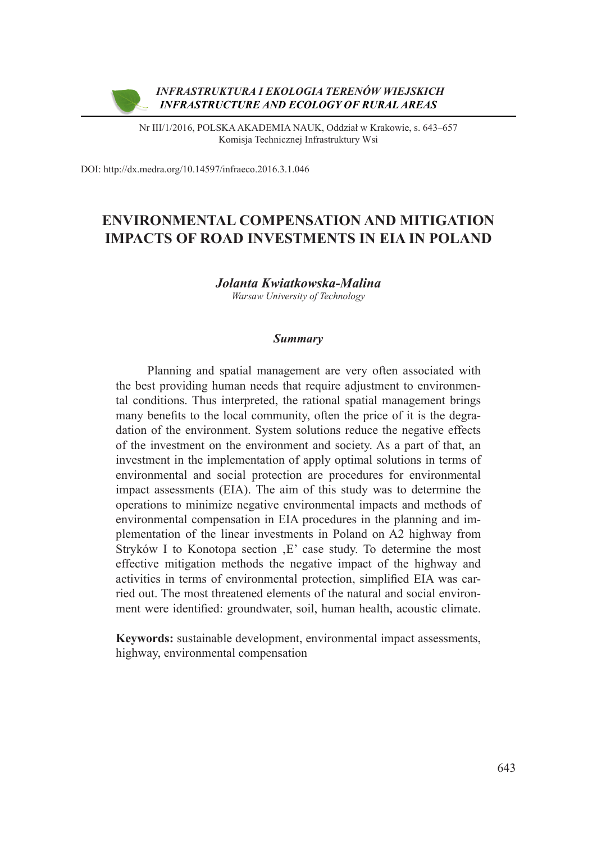

Nr III/1/2016, POLSKA AKADEMIA NAUK, Oddział w Krakowie, s. 643–657 Komisja Technicznej Infrastruktury Wsi

DOI: http://dx.medra.org/10.14597/infraeco.2016.3.1.046

### **ENVIRONMENTAL COMPENSATION AND MITIGATION IMPACTS OF ROAD INVESTMENTS IN EIA IN POLAND**

*Jolanta Kwiatkowska-Malina Warsaw University of Technology*

#### *Summary*

Planning and spatial management are very often associated with the best providing human needs that require adjustment to environmental conditions. Thus interpreted, the rational spatial management brings many benefits to the local community, often the price of it is the degradation of the environment. System solutions reduce the negative effects of the investment on the environment and society. As a part of that, an investment in the implementation of apply optimal solutions in terms of environmental and social protection are procedures for environmental impact assessments (EIA). The aim of this study was to determine the operations to minimize negative environmental impacts and methods of environmental compensation in EIA procedures in the planning and implementation of the linear investments in Poland on A2 highway from Stryków I to Konotopa section , E' case study. To determine the most effective mitigation methods the negative impact of the highway and activities in terms of environmental protection, simplified EIA was carried out. The most threatened elements of the natural and social environment were identified: groundwater, soil, human health, acoustic climate.

**Keywords:** sustainable development, environmental impact assessments, highway, environmental compensation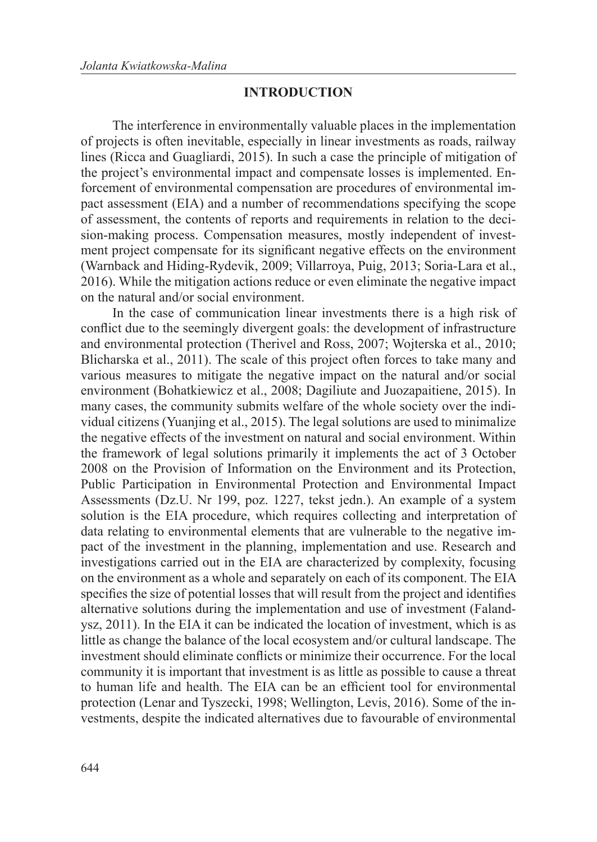#### **INTRODUCTION**

The interference in environmentally valuable places in the implementation of projects is often inevitable, especially in linear investments as roads, railway lines (Ricca and Guagliardi, 2015). In such a case the principle of mitigation of the project's environmental impact and compensate losses is implemented. Enforcement of environmental compensation are procedures of environmental impact assessment (EIA) and a number of recommendations specifying the scope of assessment, the contents of reports and requirements in relation to the decision-making process. Compensation measures, mostly independent of investment project compensate for its significant negative effects on the environment (Warnback and Hiding-Rydevik, 2009; Villarroya, Puig, 2013; Soria-Lara et al., 2016). While the mitigation actions reduce or even eliminate the negative impact on the natural and/or social environment.

In the case of communication linear investments there is a high risk of conflict due to the seemingly divergent goals: the development of infrastructure and environmental protection (Therivel and Ross, 2007; Wojterska et al., 2010; Blicharska et al., 2011). The scale of this project often forces to take many and various measures to mitigate the negative impact on the natural and/or social environment (Bohatkiewicz et al., 2008; Dagiliute and Juozapaitiene, 2015). In many cases, the community submits welfare of the whole society over the individual citizens (Yuanjing et al., 2015). The legal solutions are used to minimalize the negative effects of the investment on natural and social environment. Within the framework of legal solutions primarily it implements the act of 3 October 2008 on the Provision of Information on the Environment and its Protection, Public Participation in Environmental Protection and Environmental Impact Assessments (Dz.U. Nr 199, poz. 1227, tekst jedn.). An example of a system solution is the EIA procedure, which requires collecting and interpretation of data relating to environmental elements that are vulnerable to the negative impact of the investment in the planning, implementation and use. Research and investigations carried out in the EIA are characterized by complexity, focusing on the environment as a whole and separately on each of its component. The EIA specifies the size of potential losses that will result from the project and identifies alternative solutions during the implementation and use of investment (Falandysz, 2011). In the EIA it can be indicated the location of investment, which is as little as change the balance of the local ecosystem and/or cultural landscape. The investment should eliminate conflicts or minimize their occurrence. For the local community it is important that investment is as little as possible to cause a threat to human life and health. The EIA can be an efficient tool for environmental protection (Lenar and Tyszecki, 1998; Wellington, Levis, 2016). Some of the investments, despite the indicated alternatives due to favourable of environmental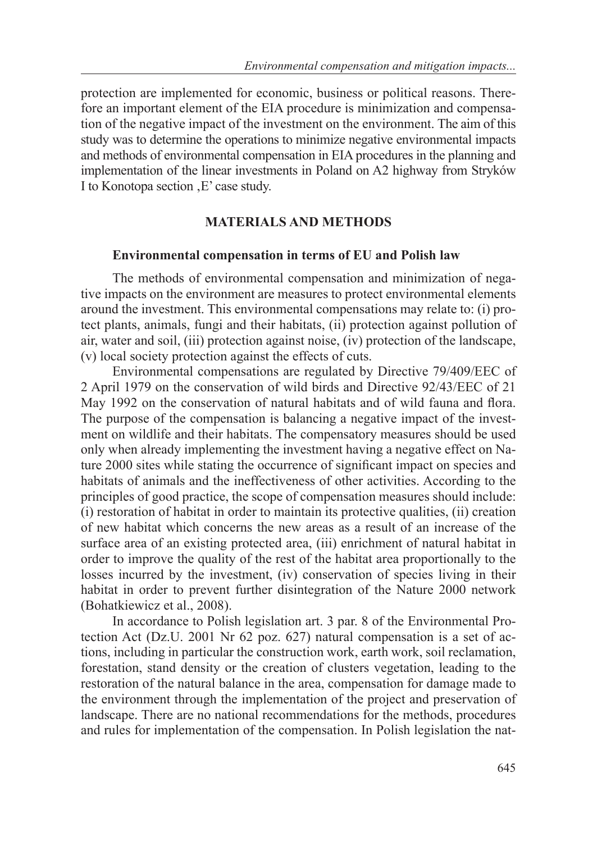protection are implemented for economic, business or political reasons. Therefore an important element of the EIA procedure is minimization and compensation of the negative impact of the investment on the environment. The aim of this study was to determine the operations to minimize negative environmental impacts and methods of environmental compensation in EIA procedures in the planning and implementation of the linear investments in Poland on A2 highway from Stryków I to Konotopa section  $E'$  case study.

#### **MATERIALS AND METHODS**

### **Environmental compensation in terms of EU and Polish law**

The methods of environmental compensation and minimization of negative impacts on the environment are measures to protect environmental elements around the investment. This environmental compensations may relate to: (i) protect plants, animals, fungi and their habitats, (ii) protection against pollution of air, water and soil, (iii) protection against noise, (iv) protection of the landscape, (v) local society protection against the effects of cuts.

Environmental compensations are regulated by Directive 79/409/EEC of 2 April 1979 on the conservation of wild birds and Directive 92/43/EEC of 21 May 1992 on the conservation of natural habitats and of wild fauna and flora. The purpose of the compensation is balancing a negative impact of the investment on wildlife and their habitats. The compensatory measures should be used only when already implementing the investment having a negative effect on Nature 2000 sites while stating the occurrence of significant impact on species and habitats of animals and the ineffectiveness of other activities. According to the principles of good practice, the scope of compensation measures should include: (i) restoration of habitat in order to maintain its protective qualities, (ii) creation of new habitat which concerns the new areas as a result of an increase of the surface area of an existing protected area, (iii) enrichment of natural habitat in order to improve the quality of the rest of the habitat area proportionally to the losses incurred by the investment, (iv) conservation of species living in their habitat in order to prevent further disintegration of the Nature 2000 network (Bohatkiewicz et al., 2008).

In accordance to Polish legislation art. 3 par. 8 of the Environmental Protection Act (Dz.U. 2001 Nr 62 poz. 627) natural compensation is a set of actions, including in particular the construction work, earth work, soil reclamation, forestation, stand density or the creation of clusters vegetation, leading to the restoration of the natural balance in the area, compensation for damage made to the environment through the implementation of the project and preservation of landscape. There are no national recommendations for the methods, procedures and rules for implementation of the compensation. In Polish legislation the nat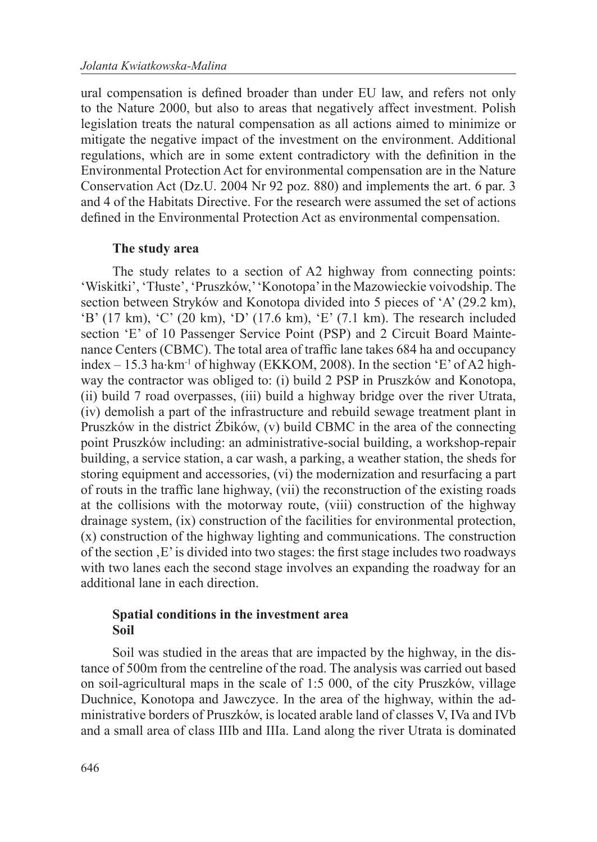ural compensation is defined broader than under EU law, and refers not only to the Nature 2000, but also to areas that negatively affect investment. Polish legislation treats the natural compensation as all actions aimed to minimize or mitigate the negative impact of the investment on the environment. Additional regulations, which are in some extent contradictory with the definition in the Environmental Protection Act for environmental compensation are in the Nature Conservation Act (Dz.U. 2004 Nr 92 poz. 880) and implements the art. 6 par. 3 and 4 of the Habitats Directive. For the research were assumed the set of actions defined in the Environmental Protection Act as environmental compensation.

### **The study area**

The study relates to a section of A2 highway from connecting points: 'Wiskitki', 'Tłuste', 'Pruszków,' 'Konotopa' in the Mazowieckie voivodship. The section between Stryków and Konotopa divided into 5 pieces of 'A' (29.2 km), 'B' (17 km), 'C' (20 km), 'D' (17.6 km), 'E' (7.1 km). The research included section 'E' of 10 Passenger Service Point (PSP) and 2 Circuit Board Maintenance Centers (CBMC). The total area of traffic lane takes 684 ha and occupancy index  $-15.3$  ha·km<sup>-1</sup> of highway (EKKOM, 2008). In the section 'E' of A2 highway the contractor was obliged to: (i) build 2 PSP in Pruszków and Konotopa, (ii) build 7 road overpasses, (iii) build a highway bridge over the river Utrata, (iv) demolish a part of the infrastructure and rebuild sewage treatment plant in Pruszków in the district Żbików, (v) build CBMC in the area of the connecting point Pruszków including: an administrative-social building, a workshop-repair building, a service station, a car wash, a parking, a weather station, the sheds for storing equipment and accessories, (vi) the modernization and resurfacing a part of routs in the traffic lane highway, (vii) the reconstruction of the existing roads at the collisions with the motorway route, (viii) construction of the highway drainage system, (ix) construction of the facilities for environmental protection, (x) construction of the highway lighting and communications. The construction of the section  $E'$  is divided into two stages: the first stage includes two roadways with two lanes each the second stage involves an expanding the roadway for an additional lane in each direction.

#### **Spatial conditions in the investment area Soil**

Soil was studied in the areas that are impacted by the highway, in the distance of 500m from the centreline of the road. The analysis was carried out based on soil-agricultural maps in the scale of 1:5 000, of the city Pruszków, village Duchnice, Konotopa and Jawczyce. In the area of the highway, within the administrative borders of Pruszków, is located arable land of classes V, IVa and IVb and a small area of class IIIb and IIIa. Land along the river Utrata is dominated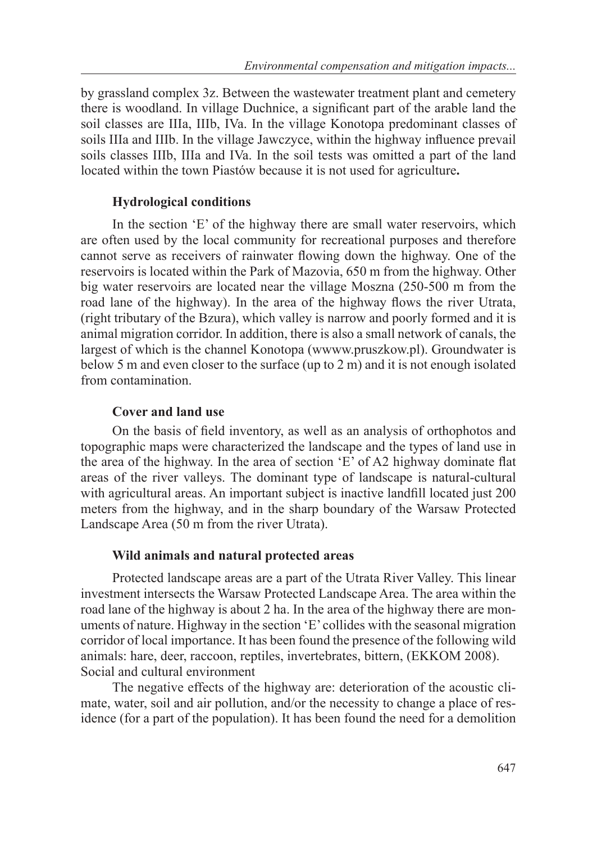by grassland complex 3z. Between the wastewater treatment plant and cemetery there is woodland. In village Duchnice, a significant part of the arable land the soil classes are IIIa, IIIb, IVa. In the village Konotopa predominant classes of soils IIIa and IIIb. In the village Jawczyce, within the highway influence prevail soils classes IIIb, IIIa and IVa. In the soil tests was omitted a part of the land located within the town Piastów because it is not used for agriculture**.**

### **Hydrological conditions**

In the section 'E' of the highway there are small water reservoirs, which are often used by the local community for recreational purposes and therefore cannot serve as receivers of rainwater flowing down the highway. One of the reservoirs is located within the Park of Mazovia, 650 m from the highway. Other big water reservoirs are located near the village Moszna (250-500 m from the road lane of the highway). In the area of the highway flows the river Utrata, (right tributary of the Bzura), which valley is narrow and poorly formed and it is animal migration corridor. In addition, there is also a small network of canals, the largest of which is the channel Konotopa (wwww.pruszkow.pl). Groundwater is below 5 m and even closer to the surface (up to 2 m) and it is not enough isolated from contamination.

### **Cover and land use**

On the basis of field inventory, as well as an analysis of orthophotos and topographic maps were characterized the landscape and the types of land use in the area of the highway. In the area of section 'E' of A2 highway dominate flat areas of the river valleys. The dominant type of landscape is natural-cultural with agricultural areas. An important subject is inactive landfill located just 200 meters from the highway, and in the sharp boundary of the Warsaw Protected Landscape Area (50 m from the river Utrata).

### **Wild animals and natural protected areas**

Protected landscape areas are a part of the Utrata River Valley. This linear investment intersects the Warsaw Protected Landscape Area. The area within the road lane of the highway is about 2 ha. In the area of the highway there are monuments of nature. Highway in the section 'E' collides with the seasonal migration corridor of local importance. It has been found the presence of the following wild animals: hare, deer, raccoon, reptiles, invertebrates, bittern, (EKKOM 2008). Social and cultural environment

The negative effects of the highway are: deterioration of the acoustic climate, water, soil and air pollution, and/or the necessity to change a place of residence (for a part of the population). It has been found the need for a demolition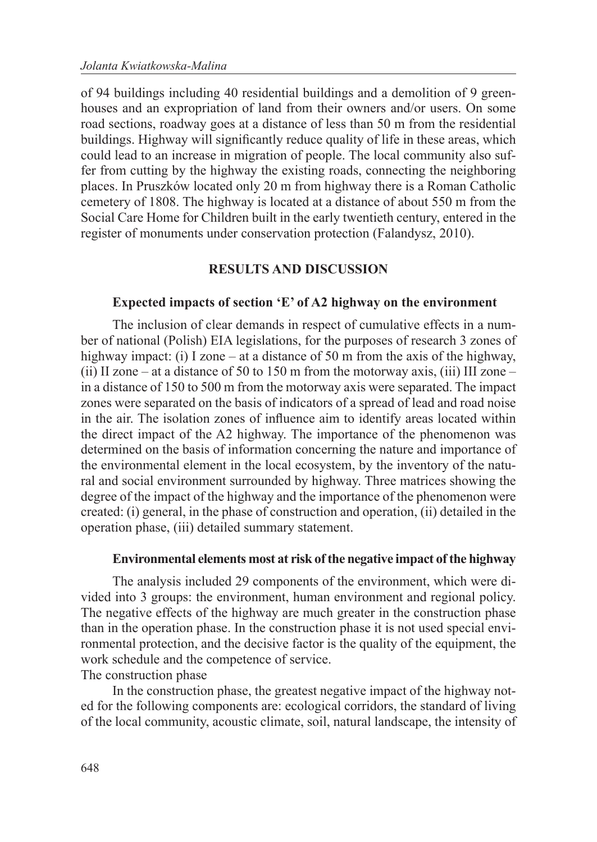of 94 buildings including 40 residential buildings and a demolition of 9 greenhouses and an expropriation of land from their owners and/or users. On some road sections, roadway goes at a distance of less than 50 m from the residential buildings. Highway will significantly reduce quality of life in these areas, which could lead to an increase in migration of people. The local community also suffer from cutting by the highway the existing roads, connecting the neighboring places. In Pruszków located only 20 m from highway there is a Roman Catholic cemetery of 1808. The highway is located at a distance of about 550 m from the Social Care Home for Children built in the early twentieth century, entered in the register of monuments under conservation protection (Falandysz, 2010).

#### **RESULTS AND DISCUSSION**

#### **Expected impacts of section 'E' of A2 highway on the environment**

The inclusion of clear demands in respect of cumulative effects in a number of national (Polish) EIA legislations, for the purposes of research 3 zones of highway impact: (i) I zone – at a distance of 50 m from the axis of the highway, (ii) II zone – at a distance of 50 to 150 m from the motorway axis, (iii) III zone – in a distance of 150 to 500 m from the motorway axis were separated. The impact zones were separated on the basis of indicators of a spread of lead and road noise in the air. The isolation zones of influence aim to identify areas located within the direct impact of the A2 highway. The importance of the phenomenon was determined on the basis of information concerning the nature and importance of the environmental element in the local ecosystem, by the inventory of the natural and social environment surrounded by highway. Three matrices showing the degree of the impact of the highway and the importance of the phenomenon were created: (i) general, in the phase of construction and operation, (ii) detailed in the operation phase, (iii) detailed summary statement.

#### **Environmental elements most at risk of the negative impact of the highway**

The analysis included 29 components of the environment, which were divided into 3 groups: the environment, human environment and regional policy. The negative effects of the highway are much greater in the construction phase than in the operation phase. In the construction phase it is not used special environmental protection, and the decisive factor is the quality of the equipment, the work schedule and the competence of service. The construction phase

In the construction phase, the greatest negative impact of the highway noted for the following components are: ecological corridors, the standard of living of the local community, acoustic climate, soil, natural landscape, the intensity of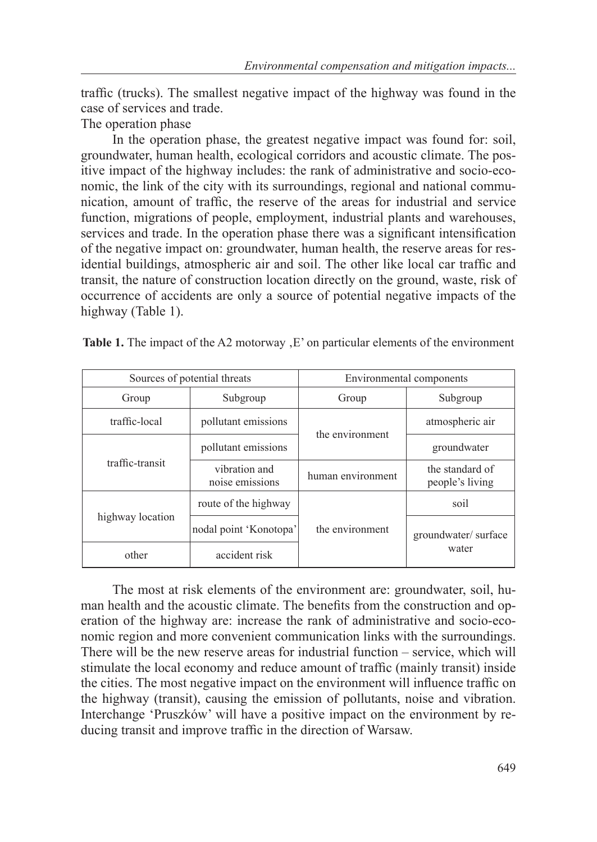traffic (trucks). The smallest negative impact of the highway was found in the case of services and trade.

The operation phase

In the operation phase, the greatest negative impact was found for: soil, groundwater, human health, ecological corridors and acoustic climate. The positive impact of the highway includes: the rank of administrative and socio-economic, the link of the city with its surroundings, regional and national communication, amount of traffic, the reserve of the areas for industrial and service function, migrations of people, employment, industrial plants and warehouses, services and trade. In the operation phase there was a significant intensification of the negative impact on: groundwater, human health, the reserve areas for residential buildings, atmospheric air and soil. The other like local car traffic and transit, the nature of construction location directly on the ground, waste, risk of occurrence of accidents are only a source of potential negative impacts of the highway (Table 1).

| Sources of potential threats |                                  | Environmental components |                                    |
|------------------------------|----------------------------------|--------------------------|------------------------------------|
| Group                        | Subgroup                         | Group                    | Subgroup                           |
| traffic-local                | pollutant emissions              | the environment          | atmospheric air                    |
| traffic-transit              | pollutant emissions              |                          | groundwater                        |
|                              | vibration and<br>noise emissions | human environment        | the standard of<br>people's living |
| highway location             | route of the highway             | the environment          | soil                               |
|                              | nodal point 'Konotopa'           |                          | groundwater/surface<br>water       |
| other                        | accident risk                    |                          |                                    |

Table 1. The impact of the A2 motorway , E' on particular elements of the environment

The most at risk elements of the environment are: groundwater, soil, human health and the acoustic climate. The benefits from the construction and operation of the highway are: increase the rank of administrative and socio-economic region and more convenient communication links with the surroundings. There will be the new reserve areas for industrial function – service, which will stimulate the local economy and reduce amount of traffic (mainly transit) inside the cities. The most negative impact on the environment will influence traffic on the highway (transit), causing the emission of pollutants, noise and vibration. Interchange 'Pruszków' will have a positive impact on the environment by reducing transit and improve traffic in the direction of Warsaw.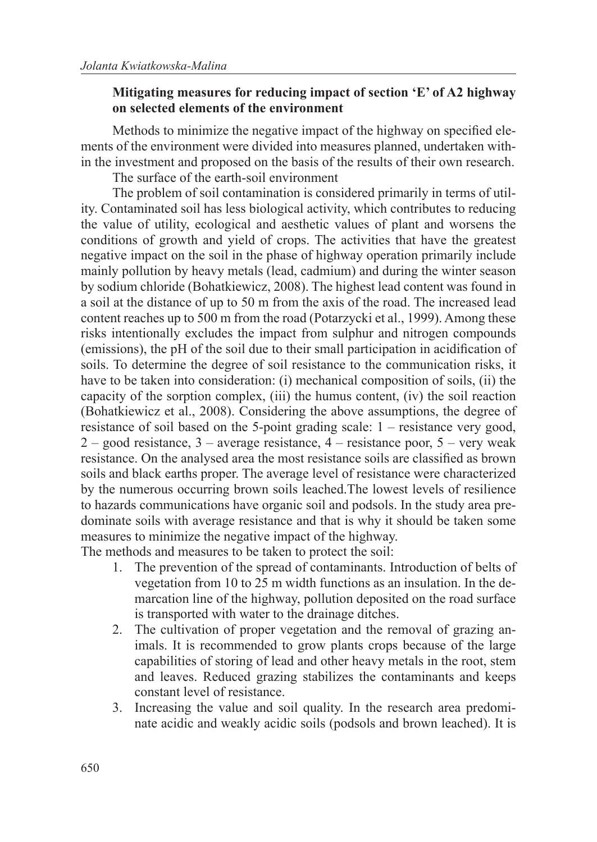#### **Mitigating measures for reducing impact of section 'E' of A2 highway on selected elements of the environment**

Methods to minimize the negative impact of the highway on specified elements of the environment were divided into measures planned, undertaken within the investment and proposed on the basis of the results of their own research.

The surface of the earth-soil environment

The problem of soil contamination is considered primarily in terms of utility. Contaminated soil has less biological activity, which contributes to reducing the value of utility, ecological and aesthetic values of plant and worsens the conditions of growth and yield of crops. The activities that have the greatest negative impact on the soil in the phase of highway operation primarily include mainly pollution by heavy metals (lead, cadmium) and during the winter season by sodium chloride (Bohatkiewicz, 2008). The highest lead content was found in a soil at the distance of up to 50 m from the axis of the road. The increased lead content reaches up to 500 m from the road (Potarzycki et al., 1999). Among these risks intentionally excludes the impact from sulphur and nitrogen compounds (emissions), the pH of the soil due to their small participation in acidification of soils. To determine the degree of soil resistance to the communication risks, it have to be taken into consideration: (i) mechanical composition of soils, (ii) the capacity of the sorption complex, (iii) the humus content, (iv) the soil reaction (Bohatkiewicz et al., 2008). Considering the above assumptions, the degree of resistance of soil based on the 5-point grading scale: 1 – resistance very good,  $2 - good resistance, 3 - average resistance, 4 - resistance poor, 5 - very weak$ resistance. On the analysed area the most resistance soils are classified as brown soils and black earths proper. The average level of resistance were characterized by the numerous occurring brown soils leached.The lowest levels of resilience to hazards communications have organic soil and podsols. In the study area predominate soils with average resistance and that is why it should be taken some measures to minimize the negative impact of the highway.

The methods and measures to be taken to protect the soil:

- 1. The prevention of the spread of contaminants. Introduction of belts of vegetation from 10 to 25 m width functions as an insulation. In the demarcation line of the highway, pollution deposited on the road surface is transported with water to the drainage ditches.
- 2. The cultivation of proper vegetation and the removal of grazing animals. It is recommended to grow plants crops because of the large capabilities of storing of lead and other heavy metals in the root, stem and leaves. Reduced grazing stabilizes the contaminants and keeps constant level of resistance.
- 3. Increasing the value and soil quality. In the research area predominate acidic and weakly acidic soils (podsols and brown leached). It is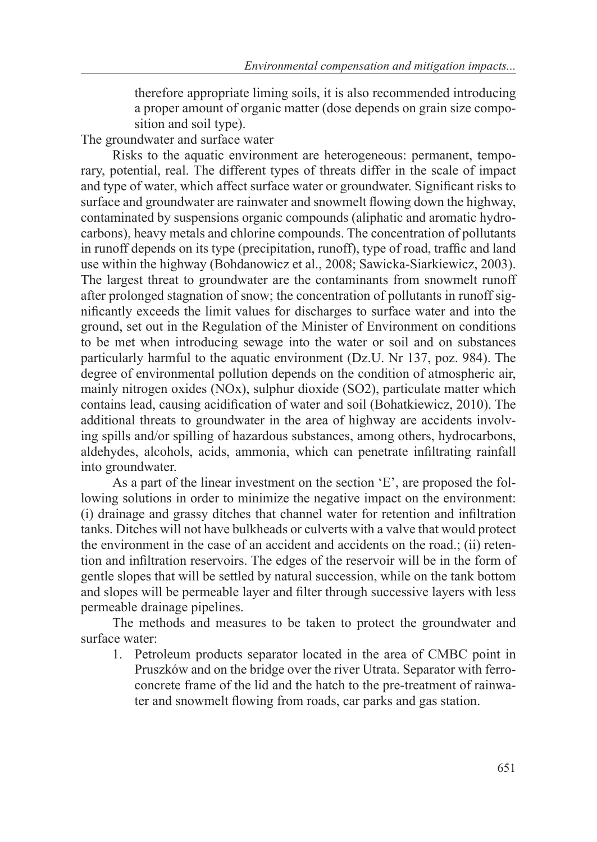therefore appropriate liming soils, it is also recommended introducing a proper amount of organic matter (dose depends on grain size composition and soil type).

The groundwater and surface water

Risks to the aquatic environment are heterogeneous: permanent, temporary, potential, real. The different types of threats differ in the scale of impact and type of water, which affect surface water or groundwater. Significant risks to surface and groundwater are rainwater and snowmelt flowing down the highway, contaminated by suspensions organic compounds (aliphatic and aromatic hydrocarbons), heavy metals and chlorine compounds. The concentration of pollutants in runoff depends on its type (precipitation, runoff), type of road, traffic and land use within the highway (Bohdanowicz et al., 2008; Sawicka-Siarkiewicz, 2003). The largest threat to groundwater are the contaminants from snowmelt runoff after prolonged stagnation of snow; the concentration of pollutants in runoff significantly exceeds the limit values for discharges to surface water and into the ground, set out in the Regulation of the Minister of Environment on conditions to be met when introducing sewage into the water or soil and on substances particularly harmful to the aquatic environment (Dz.U. Nr 137, poz. 984). The degree of environmental pollution depends on the condition of atmospheric air, mainly nitrogen oxides (NOx), sulphur dioxide (SO2), particulate matter which contains lead, causing acidification of water and soil (Bohatkiewicz, 2010). The additional threats to groundwater in the area of highway are accidents involving spills and/or spilling of hazardous substances, among others, hydrocarbons, aldehydes, alcohols, acids, ammonia, which can penetrate infiltrating rainfall into groundwater.

As a part of the linear investment on the section 'E', are proposed the following solutions in order to minimize the negative impact on the environment: (i) drainage and grassy ditches that channel water for retention and infiltration tanks. Ditches will not have bulkheads or culverts with a valve that would protect the environment in the case of an accident and accidents on the road.; (ii) retention and infiltration reservoirs. The edges of the reservoir will be in the form of gentle slopes that will be settled by natural succession, while on the tank bottom and slopes will be permeable layer and filter through successive layers with less permeable drainage pipelines.

The methods and measures to be taken to protect the groundwater and surface water:

1. Petroleum products separator located in the area of CMBC point in Pruszków and on the bridge over the river Utrata. Separator with ferroconcrete frame of the lid and the hatch to the pre-treatment of rainwater and snowmelt flowing from roads, car parks and gas station.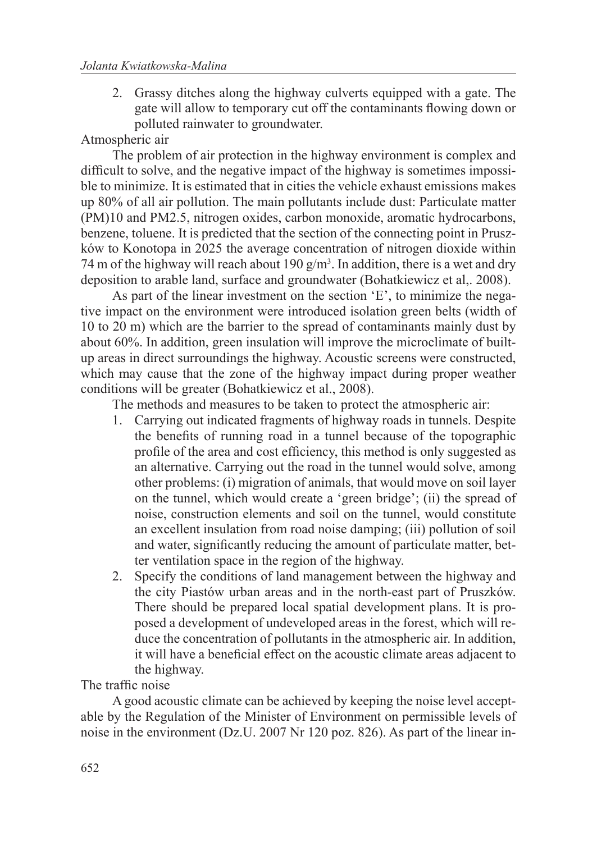2. Grassy ditches along the highway culverts equipped with a gate. The gate will allow to temporary cut off the contaminants flowing down or polluted rainwater to groundwater.

Atmospheric air

The problem of air protection in the highway environment is complex and difficult to solve, and the negative impact of the highway is sometimes impossible to minimize. It is estimated that in cities the vehicle exhaust emissions makes up 80% of all air pollution. The main pollutants include dust: Particulate matter (PM)10 and PM2.5, nitrogen oxides, carbon monoxide, aromatic hydrocarbons, benzene, toluene. It is predicted that the section of the connecting point in Pruszków to Konotopa in 2025 the average concentration of nitrogen dioxide within 74 m of the highway will reach about 190  $g/m<sup>3</sup>$ . In addition, there is a wet and dry deposition to arable land, surface and groundwater (Bohatkiewicz et al,. 2008).

As part of the linear investment on the section 'E', to minimize the negative impact on the environment were introduced isolation green belts (width of 10 to 20 m) which are the barrier to the spread of contaminants mainly dust by about 60%. In addition, green insulation will improve the microclimate of builtup areas in direct surroundings the highway. Acoustic screens were constructed, which may cause that the zone of the highway impact during proper weather conditions will be greater (Bohatkiewicz et al., 2008).

The methods and measures to be taken to protect the atmospheric air:

- 1. Carrying out indicated fragments of highway roads in tunnels. Despite the benefits of running road in a tunnel because of the topographic profile of the area and cost efficiency, this method is only suggested as an alternative. Carrying out the road in the tunnel would solve, among other problems: (i) migration of animals, that would move on soil layer on the tunnel, which would create a 'green bridge'; (ii) the spread of noise, construction elements and soil on the tunnel, would constitute an excellent insulation from road noise damping; (iii) pollution of soil and water, significantly reducing the amount of particulate matter, better ventilation space in the region of the highway.
- 2. Specify the conditions of land management between the highway and the city Piastów urban areas and in the north-east part of Pruszków. There should be prepared local spatial development plans. It is proposed a development of undeveloped areas in the forest, which will reduce the concentration of pollutants in the atmospheric air. In addition, it will have a beneficial effect on the acoustic climate areas adjacent to the highway.

The traffic noise

A good acoustic climate can be achieved by keeping the noise level acceptable by the Regulation of the Minister of Environment on permissible levels of noise in the environment (Dz.U. 2007 Nr 120 poz. 826). As part of the linear in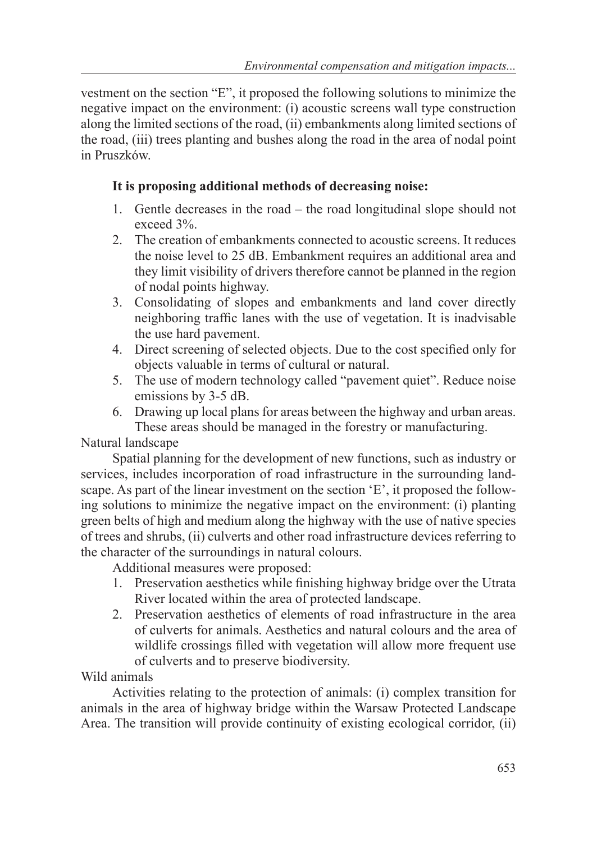vestment on the section "E", it proposed the following solutions to minimize the negative impact on the environment: (i) acoustic screens wall type construction along the limited sections of the road, (ii) embankments along limited sections of the road, (iii) trees planting and bushes along the road in the area of nodal point in Pruszków.

## **It is proposing additional methods of decreasing noise:**

- 1. Gentle decreases in the road the road longitudinal slope should not exceed 3%.
- 2. The creation of embankments connected to acoustic screens. It reduces the noise level to 25 dB. Embankment requires an additional area and they limit visibility of drivers therefore cannot be planned in the region of nodal points highway.
- 3. Consolidating of slopes and embankments and land cover directly neighboring traffic lanes with the use of vegetation. It is inadvisable the use hard pavement.
- 4. Direct screening of selected objects. Due to the cost specified only for objects valuable in terms of cultural or natural.
- 5. The use of modern technology called "pavement quiet". Reduce noise emissions by 3-5 dB.
- 6. Drawing up local plans for areas between the highway and urban areas. These areas should be managed in the forestry or manufacturing.

### Natural landscape

Spatial planning for the development of new functions, such as industry or services, includes incorporation of road infrastructure in the surrounding landscape. As part of the linear investment on the section 'E', it proposed the following solutions to minimize the negative impact on the environment: (i) planting green belts of high and medium along the highway with the use of native species of trees and shrubs, (ii) culverts and other road infrastructure devices referring to the character of the surroundings in natural colours.

Additional measures were proposed:

- 1. Preservation aesthetics while finishing highway bridge over the Utrata River located within the area of protected landscape.
- 2. Preservation aesthetics of elements of road infrastructure in the area of culverts for animals. Aesthetics and natural colours and the area of wildlife crossings filled with vegetation will allow more frequent use of culverts and to preserve biodiversity.

# Wild animals

Activities relating to the protection of animals: (i) complex transition for animals in the area of highway bridge within the Warsaw Protected Landscape Area. The transition will provide continuity of existing ecological corridor, (ii)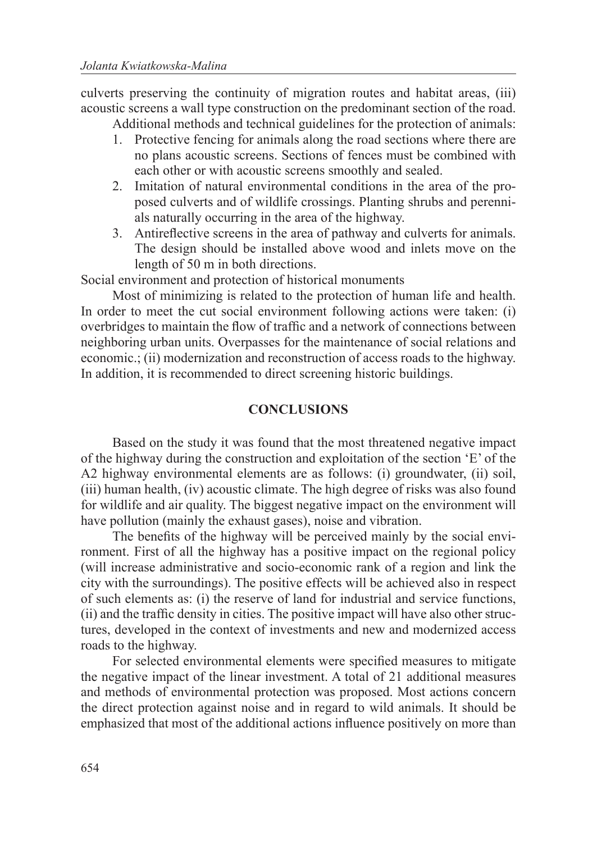culverts preserving the continuity of migration routes and habitat areas, (iii) acoustic screens a wall type construction on the predominant section of the road.

Additional methods and technical guidelines for the protection of animals:

- 1. Protective fencing for animals along the road sections where there are no plans acoustic screens. Sections of fences must be combined with each other or with acoustic screens smoothly and sealed.
- 2. Imitation of natural environmental conditions in the area of the proposed culverts and of wildlife crossings. Planting shrubs and perennials naturally occurring in the area of the highway.
- 3. Antireflective screens in the area of pathway and culverts for animals. The design should be installed above wood and inlets move on the length of 50 m in both directions.

Social environment and protection of historical monuments

Most of minimizing is related to the protection of human life and health. In order to meet the cut social environment following actions were taken: (i) overbridges to maintain the flow of traffic and a network of connections between neighboring urban units. Overpasses for the maintenance of social relations and economic.; (ii) modernization and reconstruction of access roads to the highway. In addition, it is recommended to direct screening historic buildings.

#### **CONCLUSIONS**

Based on the study it was found that the most threatened negative impact of the highway during the construction and exploitation of the section 'E' of the A2 highway environmental elements are as follows: (i) groundwater, (ii) soil, (iii) human health, (iv) acoustic climate. The high degree of risks was also found for wildlife and air quality. The biggest negative impact on the environment will have pollution (mainly the exhaust gases), noise and vibration.

The benefits of the highway will be perceived mainly by the social environment. First of all the highway has a positive impact on the regional policy (will increase administrative and socio-economic rank of a region and link the city with the surroundings). The positive effects will be achieved also in respect of such elements as: (i) the reserve of land for industrial and service functions, (ii) and the traffic density in cities. The positive impact will have also other structures, developed in the context of investments and new and modernized access roads to the highway.

For selected environmental elements were specified measures to mitigate the negative impact of the linear investment. A total of 21 additional measures and methods of environmental protection was proposed. Most actions concern the direct protection against noise and in regard to wild animals. It should be emphasized that most of the additional actions influence positively on more than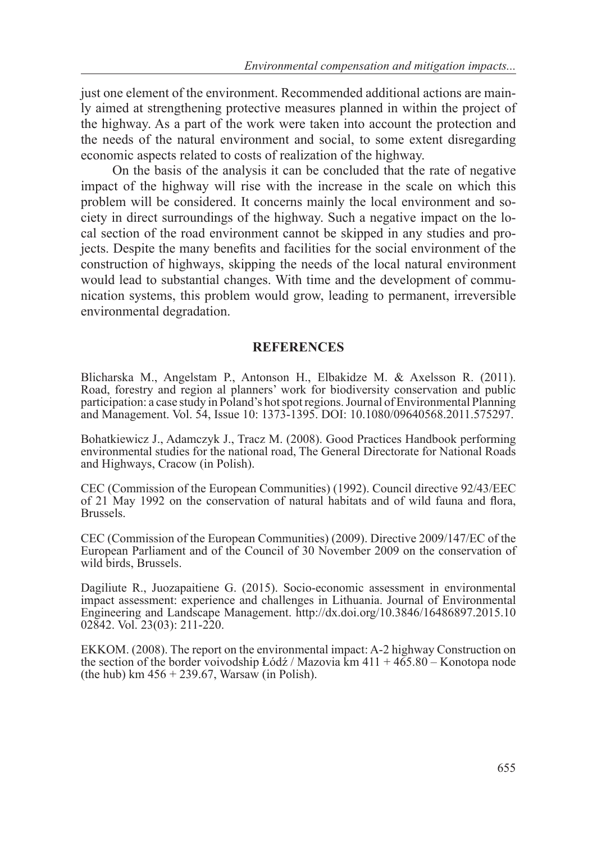just one element of the environment. Recommended additional actions are mainly aimed at strengthening protective measures planned in within the project of the highway. As a part of the work were taken into account the protection and the needs of the natural environment and social, to some extent disregarding economic aspects related to costs of realization of the highway.

On the basis of the analysis it can be concluded that the rate of negative impact of the highway will rise with the increase in the scale on which this problem will be considered. It concerns mainly the local environment and society in direct surroundings of the highway. Such a negative impact on the local section of the road environment cannot be skipped in any studies and projects. Despite the many benefits and facilities for the social environment of the construction of highways, skipping the needs of the local natural environment would lead to substantial changes. With time and the development of communication systems, this problem would grow, leading to permanent, irreversible environmental degradation.

#### **REFERENCES**

Blicharska M., Angelstam P., Antonson H., Elbakidze M. & Axelsson R. (2011). Road, forestry and region al planners' work for biodiversity conservation and public participation: a case study in Poland's hot spot regions. Journal of Environmental Planning and Management. Vol. 54, Issue 10: 1373-1395. DOI: 10.1080/09640568.2011.575297.

Bohatkiewicz J., Adamczyk J., Tracz M. (2008). Good Practices Handbook performing environmental studies for the national road, The General Directorate for National Roads and Highways, Cracow (in Polish).

CEC (Commission of the European Communities) (1992). Council directive 92/43/EEC of 21 May 1992 on the conservation of natural habitats and of wild fauna and flora, Brussels.

CEC (Commission of the European Communities) (2009). Directive 2009/147/EC of the European Parliament and of the Council of 30 November 2009 on the conservation of wild birds, Brussels.

Dagiliute R., Juozapaitiene G. (2015). Socio-economic assessment in environmental impact assessment: experience and challenges in Lithuania. Journal of Environmental Engineering and Landscape Management. http://dx.doi.org/10.3846/16486897.2015.10 02842. Vol. 23(03): 211-220.

EKKOM. (2008). The report on the environmental impact: A-2 highway Construction on the section of the border voivodship Łódź / Mazovia km 411 + 465.80 – Konotopa node (the hub) km  $456 + 239.67$ , Warsaw (in Polish).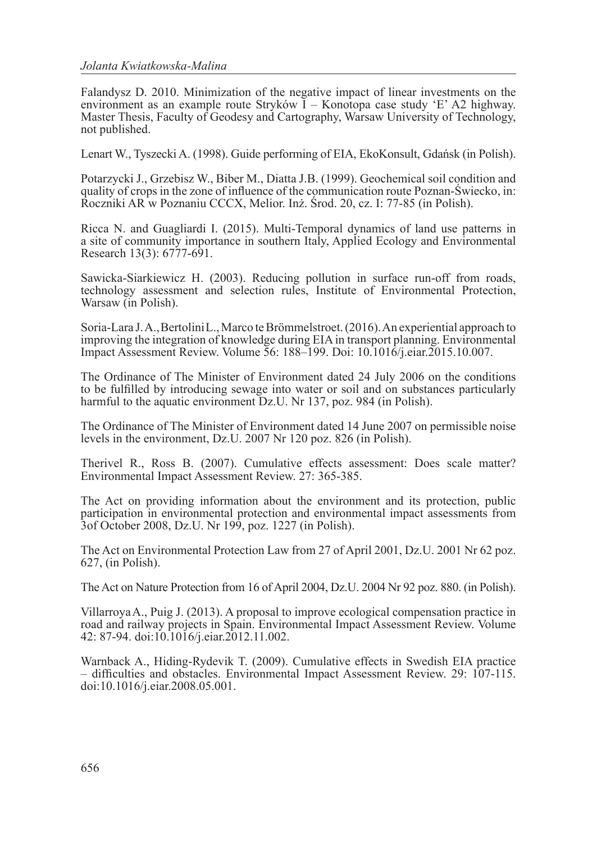Falandysz D. 2010. Minimization of the negative impact of linear investments on the environment as an example route Stryków I – Konotopa case study 'E' A2 highway. Master Thesis, Faculty of Geodesy and Cartography, Warsaw University of Technology, not published.

Lenart W., Tyszecki A. (1998). Guide performing of EIA, EkoKonsult, Gdańsk (in Polish).

Potarzycki J., Grzebisz W., Biber M., Diatta J.B. (1999). Geochemical soil condition and quality of crops in the zone of influence of the communication route Poznan-Świecko, in: Roczniki AR w Poznaniu CCCX, Melior. Inż. Środ. 20, cz. I: 77-85 (in Polish).

Ricca N. and Guagliardi I. (2015). Multi-Temporal dynamics of land use patterns in a site of community importance in southern Italy, Applied Ecology and Environmental Research 13(3): 6777-691.

Sawicka-Siarkiewicz H. (2003). Reducing pollution in surface run-off from roads, technology assessment and selection rules, Institute of Environmental Protection, Warsaw (in Polish).

Soria-Lara J. A.,BertoliniL., Marco te Brömmelstroet. (2016). An experiential approach to improving the integration of knowledge during EIA in transport planning. Environmental Impact Assessment Review. Volume 56: 188–199. Doi: 10.1016/j.eiar.2015.10.007.

The Ordinance of The Minister of Environment dated 24 July 2006 on the conditions to be fulfilled by introducing sewage into water or soil and on substances particularly harmful to the aquatic environment Dz.U. Nr 137, poz. 984 (in Polish).

The Ordinance of The Minister of Environment dated 14 June 2007 on permissible noise levels in the environment, Dz.U. 2007 Nr 120 poz. 826 (in Polish).

Therivel R., Ross B. (2007). Cumulative effects assessment: Does scale matter? Environmental Impact Assessment Review. 27: 365-385.

The Act on providing information about the environment and its protection, public participation in environmental protection and environmental impact assessments from 3of October 2008, Dz.U. Nr 199, poz. 1227 (in Polish).

The Act on Environmental Protection Law from 27 of April 2001, Dz.U. 2001 Nr 62 poz. 627, (in Polish).

The Act on Nature Protection from 16 of April 2004, Dz.U. 2004 Nr 92 poz. 880. (in Polish).

VillarroyaA., Puig J. (2013). A proposal to improve ecological compensation practice in road and railway projects in Spain. Environmental Impact Assessment Review. Volume 42: 87-94. doi:10.1016/j.eiar.2012.11.002.

Warnback A., Hiding-Rydevik T. (2009). Cumulative effects in Swedish EIA practice – difficulties and obstacles. Environmental Impact Assessment Review. 29: 107-115. doi:10.1016/j.eiar.2008.05.001.